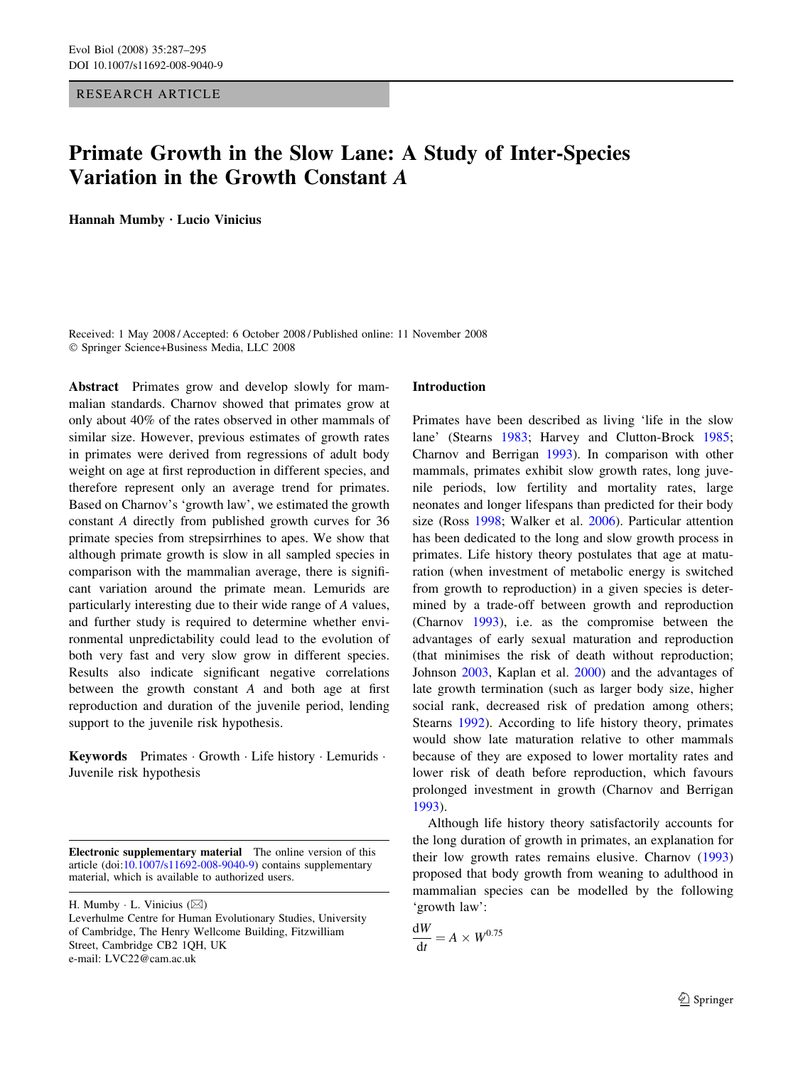# RESEARCH ARTICLE

# Primate Growth in the Slow Lane: A Study of Inter-Species Variation in the Growth Constant *A*

Hannah Mumby · Lucio Vinicius

Received: 1 May 2008 / Accepted: 6 October 2008 / Published online: 11 November 2008 Springer Science+Business Media, LLC 2008

Abstract Primates grow and develop slowly for mammalian standards. Charnov showed that primates grow at only about 40% of the rates observed in other mammals of similar size. However, previous estimates of growth rates in primates were derived from regressions of adult body weight on age at first reproduction in different species, and therefore represent only an average trend for primates. Based on Charnov's 'growth law', we estimated the growth constant A directly from published growth curves for 36 primate species from strepsirrhines to apes. We show that although primate growth is slow in all sampled species in comparison with the mammalian average, there is significant variation around the primate mean. Lemurids are particularly interesting due to their wide range of A values, and further study is required to determine whether environmental unpredictability could lead to the evolution of both very fast and very slow grow in different species. Results also indicate significant negative correlations between the growth constant A and both age at first reproduction and duration of the juvenile period, lending support to the juvenile risk hypothesis.

Keywords Primates Growth Life history Lemurids . Juvenile risk hypothesis

Electronic supplementary material The online version of this article (doi:[10.1007/s11692-008-9040-9\)](http://dx.doi.org/10.1007/s11692-008-9040-9) contains supplementary material, which is available to authorized users.

H. Mumby  $\cdot$  L. Vinicius ( $\boxtimes$ )

### Introduction

Primates have been described as living 'life in the slow lane' (Stearns [1983;](#page-8-0) Harvey and Clutton-Brock [1985](#page-7-0); Charnov and Berrigan [1993](#page-7-0)). In comparison with other mammals, primates exhibit slow growth rates, long juvenile periods, low fertility and mortality rates, large neonates and longer lifespans than predicted for their body size (Ross [1998](#page-8-0); Walker et al. [2006\)](#page-8-0). Particular attention has been dedicated to the long and slow growth process in primates. Life history theory postulates that age at maturation (when investment of metabolic energy is switched from growth to reproduction) in a given species is determined by a trade-off between growth and reproduction (Charnov [1993](#page-7-0)), i.e. as the compromise between the advantages of early sexual maturation and reproduction (that minimises the risk of death without reproduction; Johnson [2003,](#page-7-0) Kaplan et al. [2000](#page-8-0)) and the advantages of late growth termination (such as larger body size, higher social rank, decreased risk of predation among others; Stearns [1992\)](#page-8-0). According to life history theory, primates would show late maturation relative to other mammals because of they are exposed to lower mortality rates and lower risk of death before reproduction, which favours prolonged investment in growth (Charnov and Berrigan [1993](#page-7-0)).

Although life history theory satisfactorily accounts for the long duration of growth in primates, an explanation for their low growth rates remains elusive. Charnov ([1993\)](#page-7-0) proposed that body growth from weaning to adulthood in mammalian species can be modelled by the following 'growth law':

$$
\frac{\mathrm{d}W}{\mathrm{d}t} = A \times W^{0.75}
$$

Leverhulme Centre for Human Evolutionary Studies, University of Cambridge, The Henry Wellcome Building, Fitzwilliam Street, Cambridge CB2 1QH, UK e-mail: LVC22@cam.ac.uk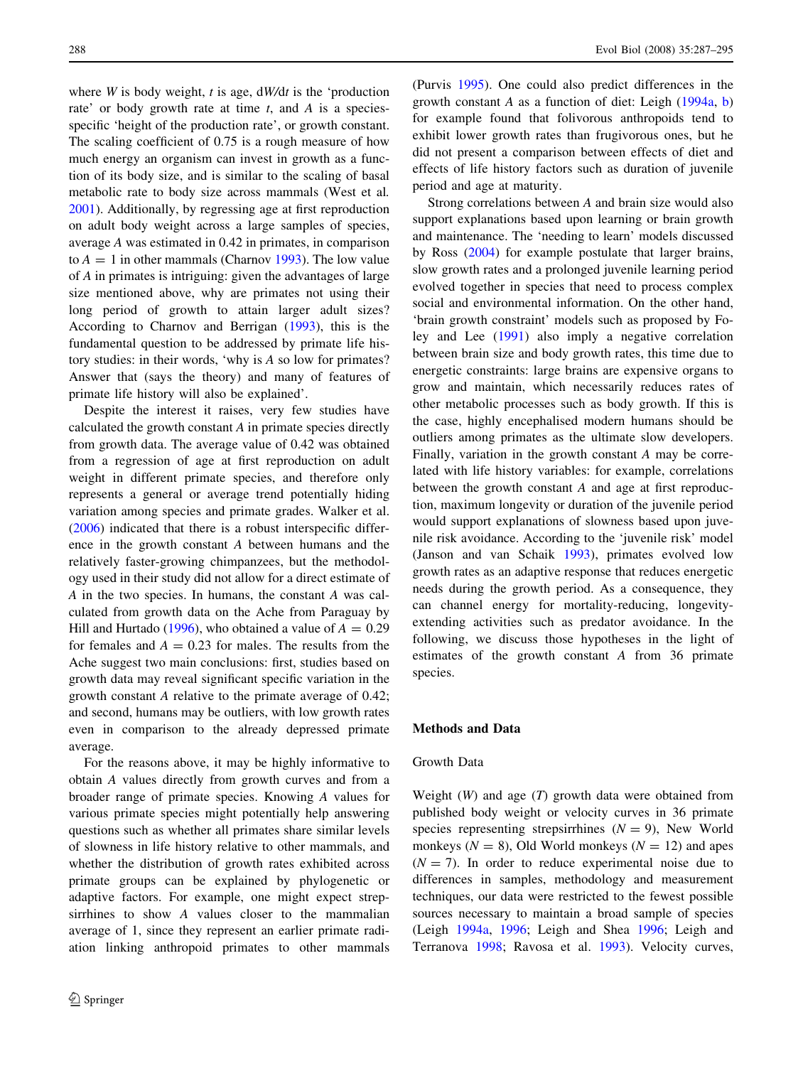where  $W$  is body weight, t is age,  $dW/dt$  is the 'production rate' or body growth rate at time  $t$ , and  $A$  is a speciesspecific 'height of the production rate', or growth constant. The scaling coefficient of 0.75 is a rough measure of how much energy an organism can invest in growth as a function of its body size, and is similar to the scaling of basal metabolic rate to body size across mammals (West et al. [2001\)](#page-8-0). Additionally, by regressing age at first reproduction on adult body weight across a large samples of species, average A was estimated in 0.42 in primates, in comparison to  $A = 1$  in other mammals (Charnov [1993\)](#page-7-0). The low value of A in primates is intriguing: given the advantages of large size mentioned above, why are primates not using their long period of growth to attain larger adult sizes? According to Charnov and Berrigan [\(1993](#page-7-0)), this is the fundamental question to be addressed by primate life history studies: in their words, 'why is A so low for primates? Answer that (says the theory) and many of features of primate life history will also be explained'.

Despite the interest it raises, very few studies have calculated the growth constant A in primate species directly from growth data. The average value of 0.42 was obtained from a regression of age at first reproduction on adult weight in different primate species, and therefore only represents a general or average trend potentially hiding variation among species and primate grades. Walker et al. [\(2006](#page-8-0)) indicated that there is a robust interspecific difference in the growth constant A between humans and the relatively faster-growing chimpanzees, but the methodology used in their study did not allow for a direct estimate of A in the two species. In humans, the constant A was calculated from growth data on the Ache from Paraguay by Hill and Hurtado [\(1996](#page-7-0)), who obtained a value of  $A = 0.29$ for females and  $A = 0.23$  for males. The results from the Ache suggest two main conclusions: first, studies based on growth data may reveal significant specific variation in the growth constant A relative to the primate average of 0.42; and second, humans may be outliers, with low growth rates even in comparison to the already depressed primate average.

For the reasons above, it may be highly informative to obtain A values directly from growth curves and from a broader range of primate species. Knowing A values for various primate species might potentially help answering questions such as whether all primates share similar levels of slowness in life history relative to other mammals, and whether the distribution of growth rates exhibited across primate groups can be explained by phylogenetic or adaptive factors. For example, one might expect strepsirrhines to show A values closer to the mammalian average of 1, since they represent an earlier primate radiation linking anthropoid primates to other mammals (Purvis [1995](#page-8-0)). One could also predict differences in the growth constant A as a function of diet: Leigh [\(1994a,](#page-8-0) [b\)](#page-8-0) for example found that folivorous anthropoids tend to exhibit lower growth rates than frugivorous ones, but he did not present a comparison between effects of diet and effects of life history factors such as duration of juvenile period and age at maturity.

Strong correlations between A and brain size would also support explanations based upon learning or brain growth and maintenance. The 'needing to learn' models discussed by Ross ([2004](#page-8-0)) for example postulate that larger brains, slow growth rates and a prolonged juvenile learning period evolved together in species that need to process complex social and environmental information. On the other hand, 'brain growth constraint' models such as proposed by Foley and Lee [\(1991](#page-7-0)) also imply a negative correlation between brain size and body growth rates, this time due to energetic constraints: large brains are expensive organs to grow and maintain, which necessarily reduces rates of other metabolic processes such as body growth. If this is the case, highly encephalised modern humans should be outliers among primates as the ultimate slow developers. Finally, variation in the growth constant A may be correlated with life history variables: for example, correlations between the growth constant A and age at first reproduction, maximum longevity or duration of the juvenile period would support explanations of slowness based upon juvenile risk avoidance. According to the 'juvenile risk' model (Janson and van Schaik [1993](#page-7-0)), primates evolved low growth rates as an adaptive response that reduces energetic needs during the growth period. As a consequence, they can channel energy for mortality-reducing, longevityextending activities such as predator avoidance. In the following, we discuss those hypotheses in the light of estimates of the growth constant A from 36 primate species.

# Methods and Data

# Growth Data

Weight  $(W)$  and age  $(T)$  growth data were obtained from published body weight or velocity curves in 36 primate species representing strepsirrhines  $(N = 9)$ , New World monkeys ( $N = 8$ ), Old World monkeys ( $N = 12$ ) and apes  $(N = 7)$ . In order to reduce experimental noise due to differences in samples, methodology and measurement techniques, our data were restricted to the fewest possible sources necessary to maintain a broad sample of species (Leigh [1994a,](#page-8-0) [1996;](#page-8-0) Leigh and Shea [1996;](#page-8-0) Leigh and Terranova [1998;](#page-8-0) Ravosa et al. [1993](#page-8-0)). Velocity curves,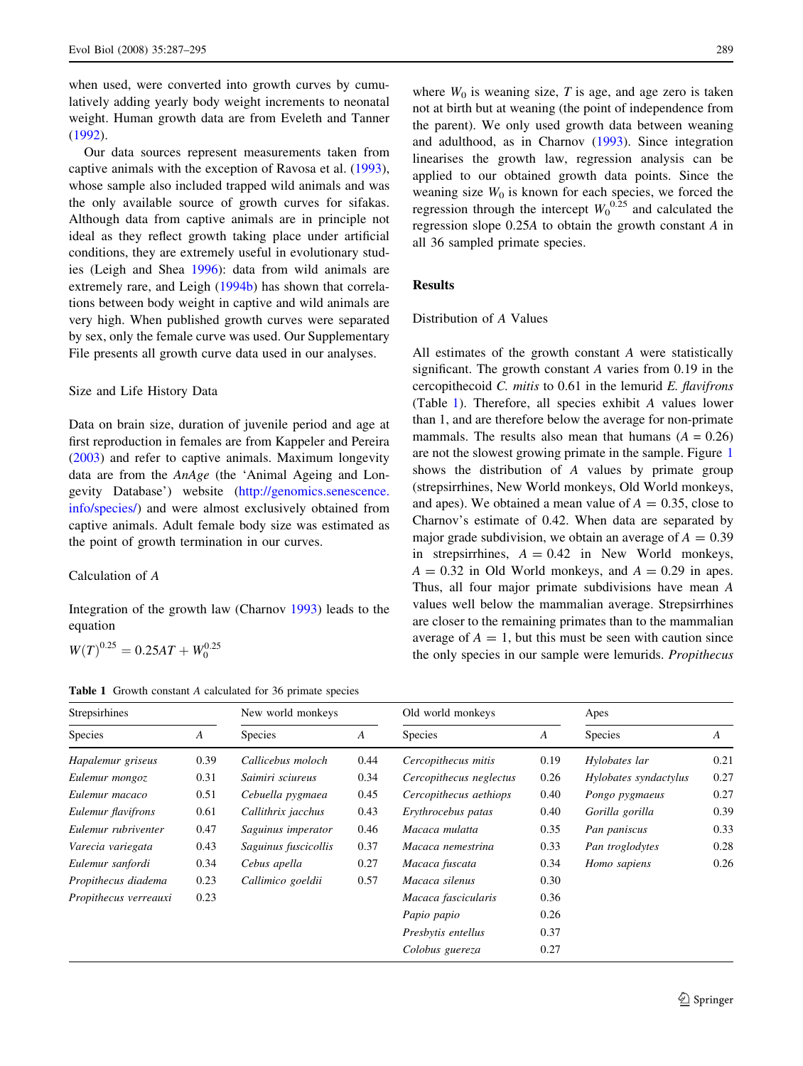when used, were converted into growth curves by cumulatively adding yearly body weight increments to neonatal weight. Human growth data are from Eveleth and Tanner [\(1992](#page-7-0)).

Our data sources represent measurements taken from captive animals with the exception of Ravosa et al. [\(1993](#page-8-0)), whose sample also included trapped wild animals and was the only available source of growth curves for sifakas. Although data from captive animals are in principle not ideal as they reflect growth taking place under artificial conditions, they are extremely useful in evolutionary studies (Leigh and Shea [1996\)](#page-8-0): data from wild animals are extremely rare, and Leigh ([1994b\)](#page-8-0) has shown that correlations between body weight in captive and wild animals are very high. When published growth curves were separated by sex, only the female curve was used. Our Supplementary File presents all growth curve data used in our analyses.

### Size and Life History Data

Data on brain size, duration of juvenile period and age at first reproduction in females are from Kappeler and Pereira [\(2003](#page-8-0)) and refer to captive animals. Maximum longevity data are from the AnAge (the 'Animal Ageing and Longevity Database') website [\(http://genomics.senescence.](http://genomics.senescence.info/species/) [info/species/\)](http://genomics.senescence.info/species/) and were almost exclusively obtained from captive animals. Adult female body size was estimated as the point of growth termination in our curves.

### Calculation of A

Integration of the growth law (Charnov [1993](#page-7-0)) leads to the equation

$$
W(T)^{0.25} = 0.25AT + W_0^{0.25}
$$

Table 1 Growth constant A calculated for 36 primate species

where  $W_0$  is weaning size, T is age, and age zero is taken not at birth but at weaning (the point of independence from the parent). We only used growth data between weaning and adulthood, as in Charnov ([1993\)](#page-7-0). Since integration linearises the growth law, regression analysis can be applied to our obtained growth data points. Since the weaning size  $W_0$  is known for each species, we forced the regression through the intercept  $W_0^{0.25}$  and calculated the regression slope 0.25A to obtain the growth constant A in all 36 sampled primate species.

### Results

### Distribution of A Values

All estimates of the growth constant A were statistically significant. The growth constant A varies from 0.19 in the cercopithecoid  $C$ . mitis to 0.61 in the lemurid  $E$ . flavifrons (Table 1). Therefore, all species exhibit A values lower than 1, and are therefore below the average for non-primate mammals. The results also mean that humans  $(A = 0.26)$ are not the slowest growing primate in the sample. Figure [1](#page-3-0) shows the distribution of A values by primate group (strepsirrhines, New World monkeys, Old World monkeys, and apes). We obtained a mean value of  $A = 0.35$ , close to Charnov's estimate of 0.42. When data are separated by major grade subdivision, we obtain an average of  $A = 0.39$ in strepsirrhines,  $A = 0.42$  in New World monkeys,  $A = 0.32$  in Old World monkeys, and  $A = 0.29$  in apes. Thus, all four major primate subdivisions have mean A values well below the mammalian average. Strepsirrhines are closer to the remaining primates than to the mammalian average of  $A = 1$ , but this must be seen with caution since the only species in our sample were lemurids. Propithecus

| Strepsirhines         |                  | New world monkeys    |                  | Old world monkeys       |                  | Apes                  |                  |
|-----------------------|------------------|----------------------|------------------|-------------------------|------------------|-----------------------|------------------|
| Species               | $\boldsymbol{A}$ | <b>Species</b>       | $\boldsymbol{A}$ | <b>Species</b>          | $\boldsymbol{A}$ | <b>Species</b>        | $\boldsymbol{A}$ |
| Hapalemur griseus     | 0.39             | Callicebus moloch    | 0.44             | Cercopithecus mitis     | 0.19             | Hylobates lar         | 0.21             |
| Eulemur mongoz        | 0.31             | Saimiri sciureus     | 0.34             | Cercopithecus neglectus | 0.26             | Hylobates syndactylus | 0.27             |
| Eulemur macaco        | 0.51             | Cebuella pygmaea     | 0.45             | Cercopithecus aethiops  | 0.40             | Pongo pygmaeus        | 0.27             |
| Eulemur flavifrons    | 0.61             | Callithrix jacchus   | 0.43             | Erythrocebus patas      | 0.40             | Gorilla gorilla       | 0.39             |
| Eulemur rubriventer   | 0.47             | Saguinus imperator   | 0.46             | Macaca mulatta          | 0.35             | Pan paniscus          | 0.33             |
| Varecia variegata     | 0.43             | Saguinus fuscicollis | 0.37             | Macaca nemestrina       | 0.33             | Pan troglodytes       | 0.28             |
| Eulemur sanfordi      | 0.34             | Cebus apella         | 0.27             | Macaca fuscata          | 0.34             | Homo sapiens          | 0.26             |
| Propithecus diadema   | 0.23             | Callimico goeldii    | 0.57             | Macaca silenus          | 0.30             |                       |                  |
| Propithecus verreauxi | 0.23             |                      |                  | Macaca fascicularis     | 0.36             |                       |                  |
|                       |                  |                      |                  | Papio papio             | 0.26             |                       |                  |
|                       |                  |                      |                  | Presbytis entellus      | 0.37             |                       |                  |
|                       |                  |                      |                  | Colobus guereza         | 0.27             |                       |                  |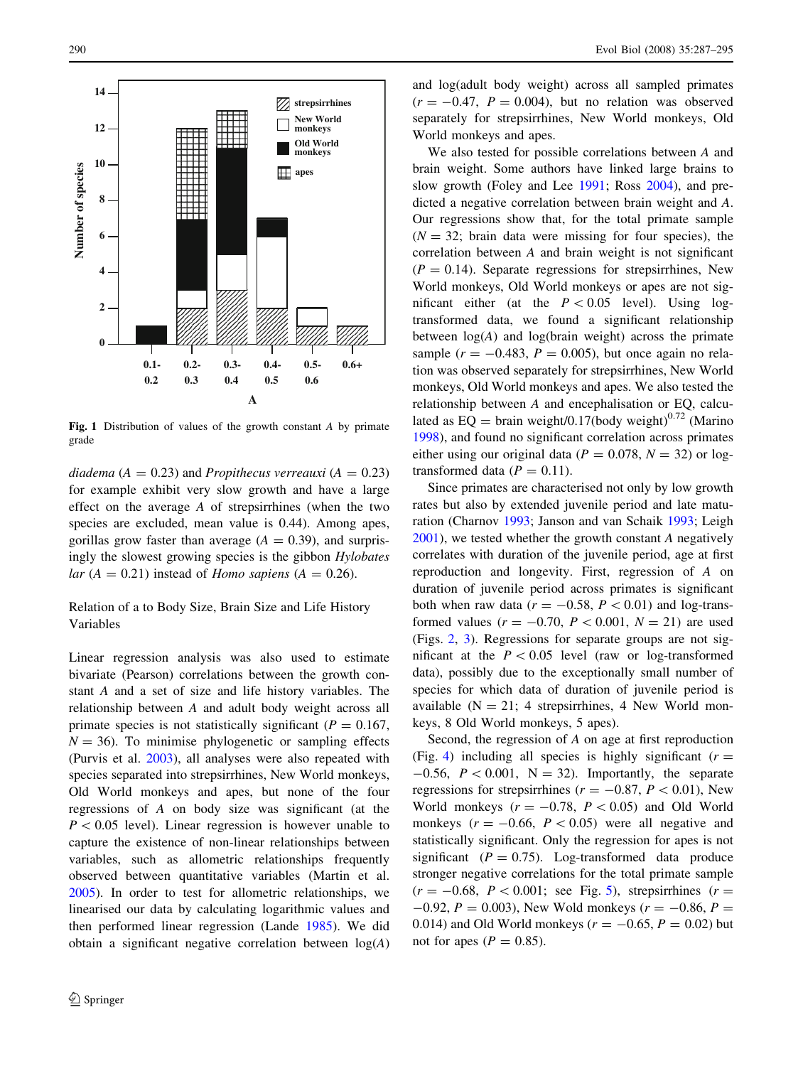<span id="page-3-0"></span>

Fig. 1 Distribution of values of the growth constant A by primate grade

diadema ( $A = 0.23$ ) and Propithecus verreauxi ( $A = 0.23$ ) for example exhibit very slow growth and have a large effect on the average A of strepsirrhines (when the two species are excluded, mean value is 0.44). Among apes, gorillas grow faster than average  $(A = 0.39)$ , and surprisingly the slowest growing species is the gibbon Hylobates lar ( $A = 0.21$ ) instead of *Homo sapiens* ( $A = 0.26$ ).

# Relation of a to Body Size, Brain Size and Life History Variables

Linear regression analysis was also used to estimate bivariate (Pearson) correlations between the growth constant A and a set of size and life history variables. The relationship between A and adult body weight across all primate species is not statistically significant ( $P = 0.167$ ,  $N = 36$ ). To minimise phylogenetic or sampling effects (Purvis et al. [2003\)](#page-8-0), all analyses were also repeated with species separated into strepsirrhines, New World monkeys, Old World monkeys and apes, but none of the four regressions of A on body size was significant (at the  $P < 0.05$  level). Linear regression is however unable to capture the existence of non-linear relationships between variables, such as allometric relationships frequently observed between quantitative variables (Martin et al. [2005\)](#page-8-0). In order to test for allometric relationships, we linearised our data by calculating logarithmic values and then performed linear regression (Lande [1985\)](#page-8-0). We did obtain a significant negative correlation between  $log(A)$  and log(adult body weight) across all sampled primates  $(r = -0.47, P = 0.004)$ , but no relation was observed separately for strepsirrhines, New World monkeys, Old World monkeys and apes.

We also tested for possible correlations between A and brain weight. Some authors have linked large brains to slow growth (Foley and Lee [1991](#page-7-0); Ross [2004\)](#page-8-0), and predicted a negative correlation between brain weight and A. Our regressions show that, for the total primate sample  $(N = 32$ ; brain data were missing for four species), the correlation between A and brain weight is not significant  $(P = 0.14)$ . Separate regressions for strepsirrhines, New World monkeys, Old World monkeys or apes are not significant either (at the  $P < 0.05$  level). Using logtransformed data, we found a significant relationship between  $log(A)$  and  $log(brain$  weight) across the primate sample ( $r = -0.483$ ,  $P = 0.005$ ), but once again no relation was observed separately for strepsirrhines, New World monkeys, Old World monkeys and apes. We also tested the relationship between A and encephalisation or EQ, calculated as  $EQ = \text{brain weight}/0.17(\text{body weight})^{0.72}$  (Marino [1998](#page-8-0)), and found no significant correlation across primates either using our original data ( $P = 0.078$ ,  $N = 32$ ) or logtransformed data ( $P = 0.11$ ).

Since primates are characterised not only by low growth rates but also by extended juvenile period and late maturation (Charnov [1993](#page-7-0); Janson and van Schaik [1993;](#page-7-0) Leigh [2001](#page-8-0)), we tested whether the growth constant A negatively correlates with duration of the juvenile period, age at first reproduction and longevity. First, regression of A on duration of juvenile period across primates is significant both when raw data ( $r = -0.58$ ,  $P < 0.01$ ) and log-transformed values ( $r = -0.70$ ,  $P < 0.001$ ,  $N = 21$ ) are used (Figs. [2](#page-4-0), [3](#page-4-0)). Regressions for separate groups are not significant at the  $P < 0.05$  level (raw or log-transformed data), possibly due to the exceptionally small number of species for which data of duration of juvenile period is available  $(N = 21; 4$  strepsirrhines, 4 New World monkeys, 8 Old World monkeys, 5 apes).

Second, the regression of A on age at first reproduction (Fig. [4\)](#page-4-0) including all species is highly significant ( $r =$  $-0.56$ ,  $P < 0.001$ ,  $N = 32$ ). Importantly, the separate regressions for strepsirrhines ( $r = -0.87, P < 0.01$ ), New World monkeys  $(r = -0.78, P < 0.05)$  and Old World monkeys  $(r = -0.66, P < 0.05)$  were all negative and statistically significant. Only the regression for apes is not significant ( $P = 0.75$ ). Log-transformed data produce stronger negative correlations for the total primate sample  $(r = -0.68, P < 0.001$ ; see Fig. [5\)](#page-4-0), strepsirrhines  $(r =$  $-0.92$ ,  $P = 0.003$ ), New Wold monkeys ( $r = -0.86$ ,  $P =$ 0.014) and Old World monkeys ( $r = -0.65$ ,  $P = 0.02$ ) but not for apes ( $P = 0.85$ ).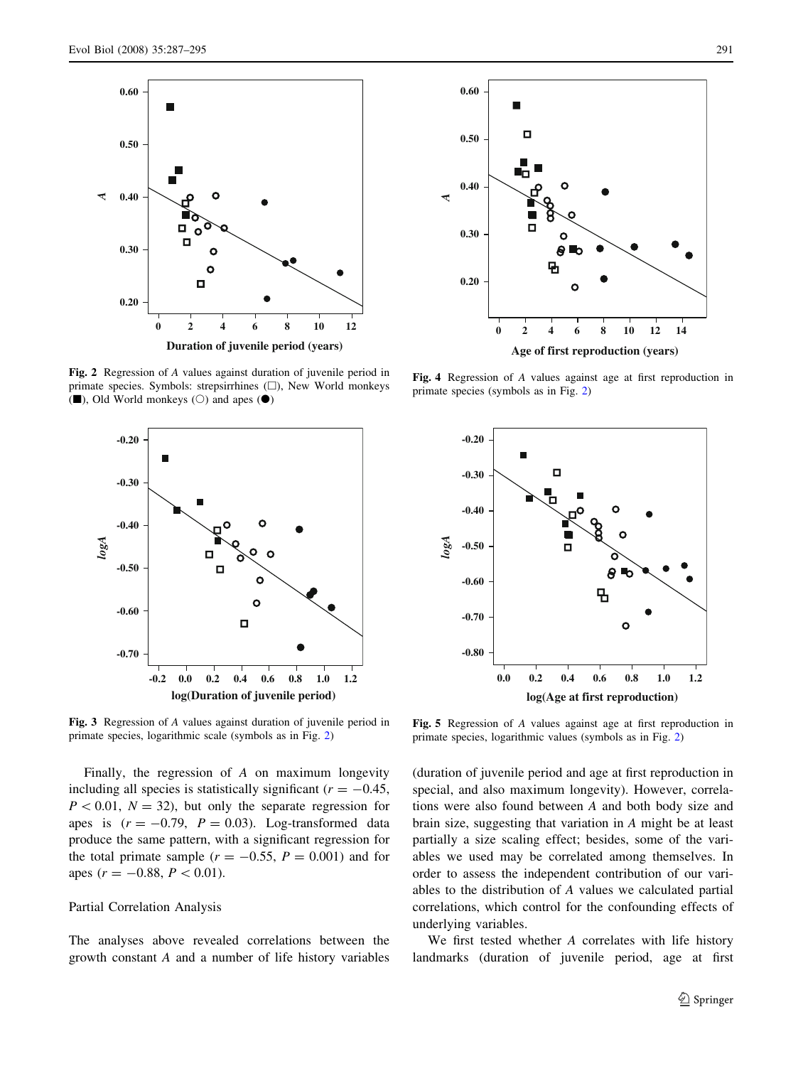<span id="page-4-0"></span>

Fig. 2 Regression of A values against duration of juvenile period in primate species. Symbols: strepsirrhines  $(\Box)$ , New World monkeys ( $\blacksquare$ ), Old World monkeys ( $\bigcirc$ ) and apes ( $\spadesuit$ )



Fig. 3 Regression of A values against duration of juvenile period in primate species, logarithmic scale (symbols as in Fig. 2)

Finally, the regression of A on maximum longevity including all species is statistically significant ( $r = -0.45$ ,  $P < 0.01$ ,  $N = 32$ ), but only the separate regression for apes is  $(r = -0.79, P = 0.03)$ . Log-transformed data produce the same pattern, with a significant regression for the total primate sample ( $r = -0.55$ ,  $P = 0.001$ ) and for apes ( $r = -0.88$ ,  $P < 0.01$ ).

### Partial Correlation Analysis

The analyses above revealed correlations between the growth constant A and a number of life history variables



Fig. 4 Regression of A values against age at first reproduction in primate species (symbols as in Fig. 2)



Fig. 5 Regression of A values against age at first reproduction in primate species, logarithmic values (symbols as in Fig. 2)

(duration of juvenile period and age at first reproduction in special, and also maximum longevity). However, correlations were also found between A and both body size and brain size, suggesting that variation in A might be at least partially a size scaling effect; besides, some of the variables we used may be correlated among themselves. In order to assess the independent contribution of our variables to the distribution of A values we calculated partial correlations, which control for the confounding effects of underlying variables.

We first tested whether A correlates with life history landmarks (duration of juvenile period, age at first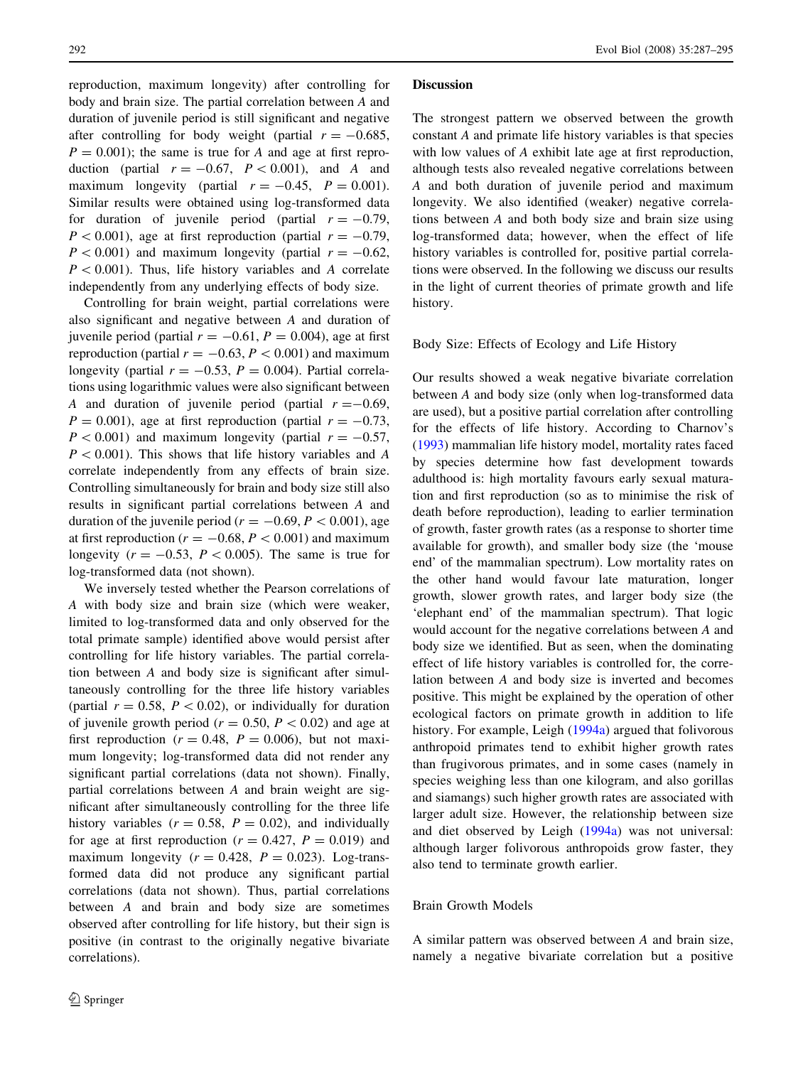reproduction, maximum longevity) after controlling for body and brain size. The partial correlation between A and duration of juvenile period is still significant and negative after controlling for body weight (partial  $r = -0.685$ ,  $P = 0.001$ ; the same is true for A and age at first reproduction (partial  $r = -0.67$ ,  $P \lt 0.001$ ), and A and maximum longevity (partial  $r = -0.45$ ,  $P = 0.001$ ). Similar results were obtained using log-transformed data for duration of juvenile period (partial  $r = -0.79$ ,  $P < 0.001$ ), age at first reproduction (partial  $r = -0.79$ ,  $P < 0.001$ ) and maximum longevity (partial  $r = -0.62$ ,  $P < 0.001$ ). Thus, life history variables and A correlate independently from any underlying effects of body size.

Controlling for brain weight, partial correlations were also significant and negative between A and duration of juvenile period (partial  $r = -0.61$ ,  $P = 0.004$ ), age at first reproduction (partial  $r = -0.63$ ,  $P < 0.001$ ) and maximum longevity (partial  $r = -0.53$ ,  $P = 0.004$ ). Partial correlations using logarithmic values were also significant between A and duration of juvenile period (partial  $r = -0.69$ ,  $P = 0.001$ , age at first reproduction (partial  $r = -0.73$ ,  $P < 0.001$ ) and maximum longevity (partial  $r = -0.57$ ,  $P < 0.001$ ). This shows that life history variables and A correlate independently from any effects of brain size. Controlling simultaneously for brain and body size still also results in significant partial correlations between A and duration of the juvenile period ( $r = -0.69, P < 0.001$ ), age at first reproduction ( $r = -0.68$ ,  $P < 0.001$ ) and maximum longevity ( $r = -0.53$ ,  $P \lt 0.005$ ). The same is true for log-transformed data (not shown).

We inversely tested whether the Pearson correlations of A with body size and brain size (which were weaker, limited to log-transformed data and only observed for the total primate sample) identified above would persist after controlling for life history variables. The partial correlation between A and body size is significant after simultaneously controlling for the three life history variables (partial  $r = 0.58$ ,  $P < 0.02$ ), or individually for duration of juvenile growth period ( $r = 0.50$ ,  $P < 0.02$ ) and age at first reproduction ( $r = 0.48$ ,  $P = 0.006$ ), but not maximum longevity; log-transformed data did not render any significant partial correlations (data not shown). Finally, partial correlations between A and brain weight are significant after simultaneously controlling for the three life history variables  $(r = 0.58, P = 0.02)$ , and individually for age at first reproduction ( $r = 0.427$ ,  $P = 0.019$ ) and maximum longevity ( $r = 0.428$ ,  $P = 0.023$ ). Log-transformed data did not produce any significant partial correlations (data not shown). Thus, partial correlations between A and brain and body size are sometimes observed after controlling for life history, but their sign is positive (in contrast to the originally negative bivariate correlations).

#### **Discussion**

The strongest pattern we observed between the growth constant A and primate life history variables is that species with low values of A exhibit late age at first reproduction, although tests also revealed negative correlations between A and both duration of juvenile period and maximum longevity. We also identified (weaker) negative correlations between A and both body size and brain size using log-transformed data; however, when the effect of life history variables is controlled for, positive partial correlations were observed. In the following we discuss our results in the light of current theories of primate growth and life history.

### Body Size: Effects of Ecology and Life History

Our results showed a weak negative bivariate correlation between A and body size (only when log-transformed data are used), but a positive partial correlation after controlling for the effects of life history. According to Charnov's [\(1993](#page-7-0)) mammalian life history model, mortality rates faced by species determine how fast development towards adulthood is: high mortality favours early sexual maturation and first reproduction (so as to minimise the risk of death before reproduction), leading to earlier termination of growth, faster growth rates (as a response to shorter time available for growth), and smaller body size (the 'mouse end' of the mammalian spectrum). Low mortality rates on the other hand would favour late maturation, longer growth, slower growth rates, and larger body size (the 'elephant end' of the mammalian spectrum). That logic would account for the negative correlations between A and body size we identified. But as seen, when the dominating effect of life history variables is controlled for, the correlation between A and body size is inverted and becomes positive. This might be explained by the operation of other ecological factors on primate growth in addition to life history. For example, Leigh ([1994a](#page-8-0)) argued that folivorous anthropoid primates tend to exhibit higher growth rates than frugivorous primates, and in some cases (namely in species weighing less than one kilogram, and also gorillas and siamangs) such higher growth rates are associated with larger adult size. However, the relationship between size and diet observed by Leigh ([1994a](#page-8-0)) was not universal: although larger folivorous anthropoids grow faster, they also tend to terminate growth earlier.

### Brain Growth Models

A similar pattern was observed between A and brain size, namely a negative bivariate correlation but a positive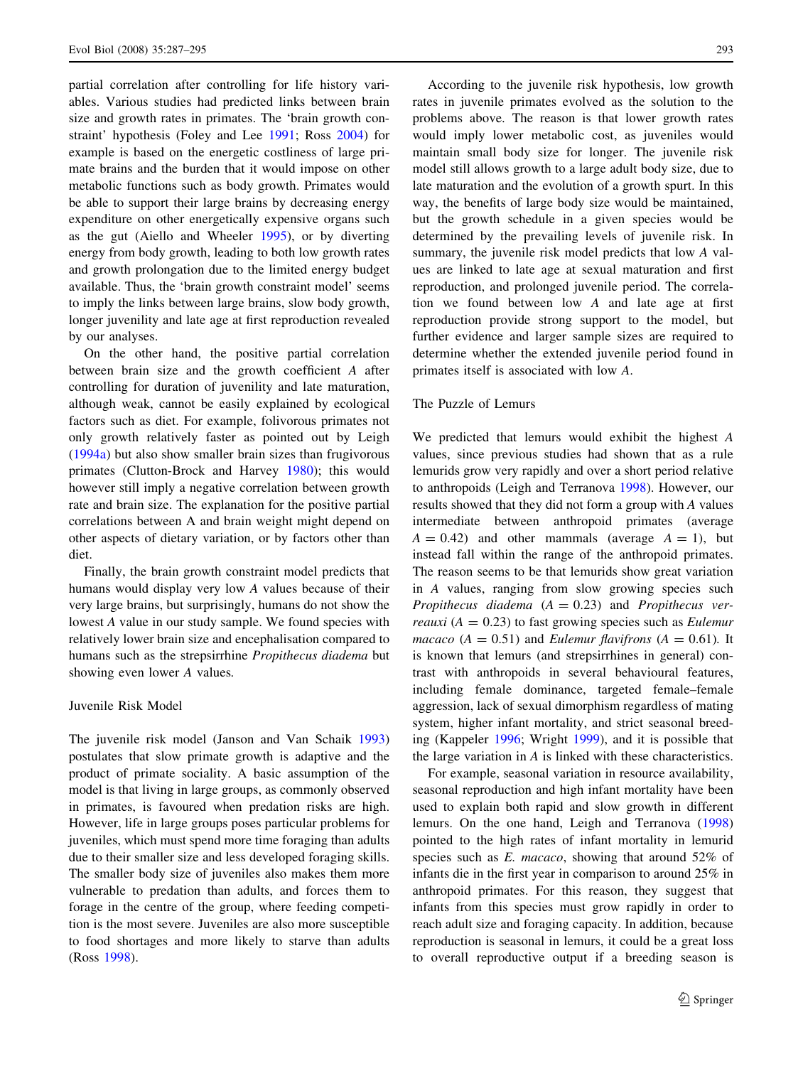partial correlation after controlling for life history variables. Various studies had predicted links between brain size and growth rates in primates. The 'brain growth constraint' hypothesis (Foley and Lee [1991](#page-7-0); Ross [2004\)](#page-8-0) for example is based on the energetic costliness of large primate brains and the burden that it would impose on other metabolic functions such as body growth. Primates would be able to support their large brains by decreasing energy expenditure on other energetically expensive organs such as the gut (Aiello and Wheeler [1995\)](#page-7-0), or by diverting energy from body growth, leading to both low growth rates and growth prolongation due to the limited energy budget available. Thus, the 'brain growth constraint model' seems to imply the links between large brains, slow body growth, longer juvenility and late age at first reproduction revealed by our analyses.

On the other hand, the positive partial correlation between brain size and the growth coefficient A after controlling for duration of juvenility and late maturation, although weak, cannot be easily explained by ecological factors such as diet. For example, folivorous primates not only growth relatively faster as pointed out by Leigh [\(1994a\)](#page-8-0) but also show smaller brain sizes than frugivorous primates (Clutton-Brock and Harvey [1980\)](#page-7-0); this would however still imply a negative correlation between growth rate and brain size. The explanation for the positive partial correlations between A and brain weight might depend on other aspects of dietary variation, or by factors other than diet.

Finally, the brain growth constraint model predicts that humans would display very low A values because of their very large brains, but surprisingly, humans do not show the lowest A value in our study sample. We found species with relatively lower brain size and encephalisation compared to humans such as the strepsirrhine Propithecus diadema but showing even lower A values.

### Juvenile Risk Model

The juvenile risk model (Janson and Van Schaik [1993\)](#page-7-0) postulates that slow primate growth is adaptive and the product of primate sociality. A basic assumption of the model is that living in large groups, as commonly observed in primates, is favoured when predation risks are high. However, life in large groups poses particular problems for juveniles, which must spend more time foraging than adults due to their smaller size and less developed foraging skills. The smaller body size of juveniles also makes them more vulnerable to predation than adults, and forces them to forage in the centre of the group, where feeding competition is the most severe. Juveniles are also more susceptible to food shortages and more likely to starve than adults (Ross [1998](#page-8-0)).

According to the juvenile risk hypothesis, low growth rates in juvenile primates evolved as the solution to the problems above. The reason is that lower growth rates would imply lower metabolic cost, as juveniles would maintain small body size for longer. The juvenile risk model still allows growth to a large adult body size, due to late maturation and the evolution of a growth spurt. In this way, the benefits of large body size would be maintained, but the growth schedule in a given species would be determined by the prevailing levels of juvenile risk. In summary, the juvenile risk model predicts that low A values are linked to late age at sexual maturation and first reproduction, and prolonged juvenile period. The correlation we found between low A and late age at first reproduction provide strong support to the model, but further evidence and larger sample sizes are required to determine whether the extended juvenile period found in primates itself is associated with low A.

### The Puzzle of Lemurs

We predicted that lemurs would exhibit the highest A values, since previous studies had shown that as a rule lemurids grow very rapidly and over a short period relative to anthropoids (Leigh and Terranova [1998\)](#page-8-0). However, our results showed that they did not form a group with A values intermediate between anthropoid primates (average  $A = 0.42$ ) and other mammals (average  $A = 1$ ), but instead fall within the range of the anthropoid primates. The reason seems to be that lemurids show great variation in A values, ranging from slow growing species such Propithecus diadema  $(A = 0.23)$  and Propithecus ver*reauxi* ( $A = 0.23$ ) to fast growing species such as *Eulemur* macaco ( $A = 0.51$ ) and *Eulemur flavifrons* ( $A = 0.61$ ). It is known that lemurs (and strepsirrhines in general) contrast with anthropoids in several behavioural features, including female dominance, targeted female–female aggression, lack of sexual dimorphism regardless of mating system, higher infant mortality, and strict seasonal breeding (Kappeler [1996](#page-8-0); Wright [1999](#page-8-0)), and it is possible that the large variation in A is linked with these characteristics.

For example, seasonal variation in resource availability, seasonal reproduction and high infant mortality have been used to explain both rapid and slow growth in different lemurs. On the one hand, Leigh and Terranova ([1998\)](#page-8-0) pointed to the high rates of infant mortality in lemurid species such as E. macaco, showing that around 52% of infants die in the first year in comparison to around 25% in anthropoid primates. For this reason, they suggest that infants from this species must grow rapidly in order to reach adult size and foraging capacity. In addition, because reproduction is seasonal in lemurs, it could be a great loss to overall reproductive output if a breeding season is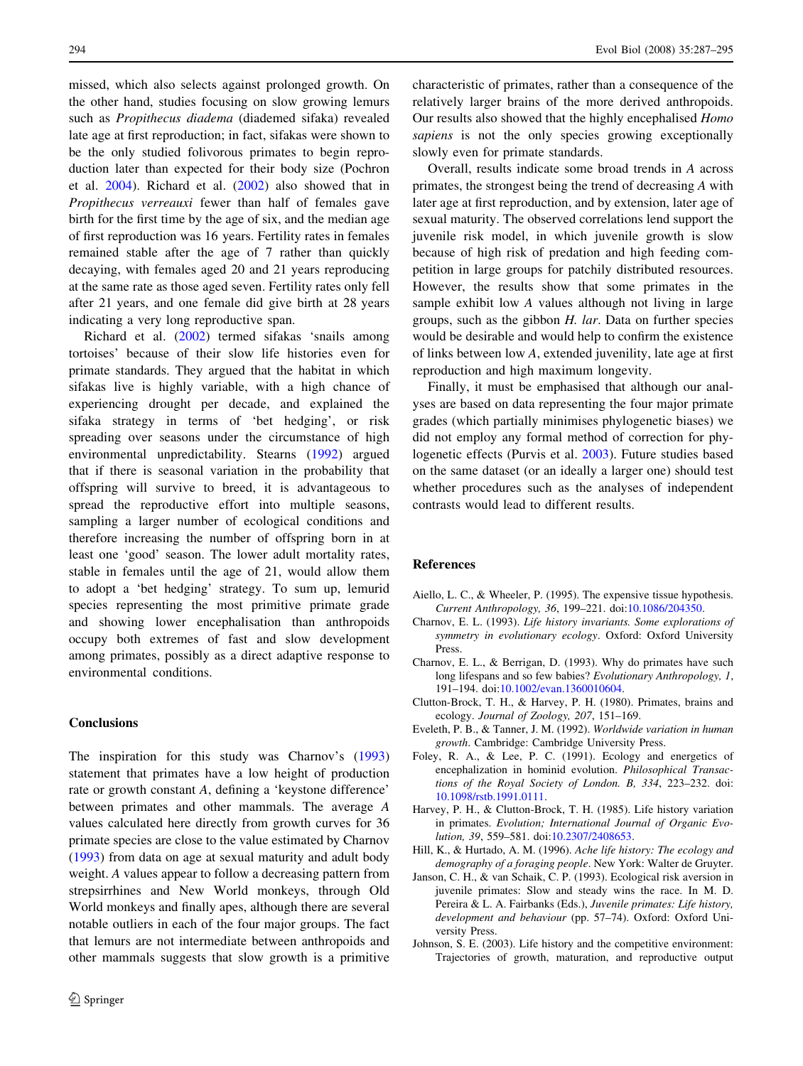<span id="page-7-0"></span>missed, which also selects against prolonged growth. On the other hand, studies focusing on slow growing lemurs such as Propithecus diadema (diademed sifaka) revealed late age at first reproduction; in fact, sifakas were shown to be the only studied folivorous primates to begin reproduction later than expected for their body size (Pochron et al. [2004](#page-8-0)). Richard et al. [\(2002](#page-8-0)) also showed that in Propithecus verreauxi fewer than half of females gave birth for the first time by the age of six, and the median age of first reproduction was 16 years. Fertility rates in females remained stable after the age of 7 rather than quickly decaying, with females aged 20 and 21 years reproducing at the same rate as those aged seven. Fertility rates only fell after 21 years, and one female did give birth at 28 years indicating a very long reproductive span.

Richard et al. ([2002\)](#page-8-0) termed sifakas 'snails among tortoises' because of their slow life histories even for primate standards. They argued that the habitat in which sifakas live is highly variable, with a high chance of experiencing drought per decade, and explained the sifaka strategy in terms of 'bet hedging', or risk spreading over seasons under the circumstance of high environmental unpredictability. Stearns ([1992\)](#page-8-0) argued that if there is seasonal variation in the probability that offspring will survive to breed, it is advantageous to spread the reproductive effort into multiple seasons, sampling a larger number of ecological conditions and therefore increasing the number of offspring born in at least one 'good' season. The lower adult mortality rates, stable in females until the age of 21, would allow them to adopt a 'bet hedging' strategy. To sum up, lemurid species representing the most primitive primate grade and showing lower encephalisation than anthropoids occupy both extremes of fast and slow development among primates, possibly as a direct adaptive response to environmental conditions.

### **Conclusions**

The inspiration for this study was Charnov's (1993) statement that primates have a low height of production rate or growth constant A, defining a 'keystone difference' between primates and other mammals. The average A values calculated here directly from growth curves for 36 primate species are close to the value estimated by Charnov (1993) from data on age at sexual maturity and adult body weight. A values appear to follow a decreasing pattern from strepsirrhines and New World monkeys, through Old World monkeys and finally apes, although there are several notable outliers in each of the four major groups. The fact that lemurs are not intermediate between anthropoids and other mammals suggests that slow growth is a primitive characteristic of primates, rather than a consequence of the relatively larger brains of the more derived anthropoids. Our results also showed that the highly encephalised Homo sapiens is not the only species growing exceptionally slowly even for primate standards.

Overall, results indicate some broad trends in A across primates, the strongest being the trend of decreasing A with later age at first reproduction, and by extension, later age of sexual maturity. The observed correlations lend support the juvenile risk model, in which juvenile growth is slow because of high risk of predation and high feeding competition in large groups for patchily distributed resources. However, the results show that some primates in the sample exhibit low A values although not living in large groups, such as the gibbon  $H$ . lar. Data on further species would be desirable and would help to confirm the existence of links between low A, extended juvenility, late age at first reproduction and high maximum longevity.

Finally, it must be emphasised that although our analyses are based on data representing the four major primate grades (which partially minimises phylogenetic biases) we did not employ any formal method of correction for phylogenetic effects (Purvis et al. [2003\)](#page-8-0). Future studies based on the same dataset (or an ideally a larger one) should test whether procedures such as the analyses of independent contrasts would lead to different results.

### References

- Aiello, L. C., & Wheeler, P. (1995). The expensive tissue hypothesis. Current Anthropology, 36, 199–221. doi:[10.1086/204350.](http://dx.doi.org/10.1086/204350)
- Charnov, E. L. (1993). Life history invariants. Some explorations of symmetry in evolutionary ecology. Oxford: Oxford University Press.
- Charnov, E. L., & Berrigan, D. (1993). Why do primates have such long lifespans and so few babies? Evolutionary Anthropology, 1, 191–194. doi:[10.1002/evan.1360010604](http://dx.doi.org/10.1002/evan.1360010604).
- Clutton-Brock, T. H., & Harvey, P. H. (1980). Primates, brains and ecology. Journal of Zoology, 207, 151–169.
- Eveleth, P. B., & Tanner, J. M. (1992). Worldwide variation in human growth. Cambridge: Cambridge University Press.
- Foley, R. A., & Lee, P. C. (1991). Ecology and energetics of encephalization in hominid evolution. Philosophical Transactions of the Royal Society of London. B, 334, 223–232. doi: [10.1098/rstb.1991.0111.](http://dx.doi.org/10.1098/rstb.1991.0111)
- Harvey, P. H., & Clutton-Brock, T. H. (1985). Life history variation in primates. Evolution; International Journal of Organic Evolution, 39, 559–581. doi[:10.2307/2408653.](http://dx.doi.org/10.2307/2408653)
- Hill, K., & Hurtado, A. M. (1996). Ache life history: The ecology and demography of a foraging people. New York: Walter de Gruyter.
- Janson, C. H., & van Schaik, C. P. (1993). Ecological risk aversion in juvenile primates: Slow and steady wins the race. In M. D. Pereira & L. A. Fairbanks (Eds.), Juvenile primates: Life history, development and behaviour (pp. 57–74). Oxford: Oxford University Press.
- Johnson, S. E. (2003). Life history and the competitive environment: Trajectories of growth, maturation, and reproductive output